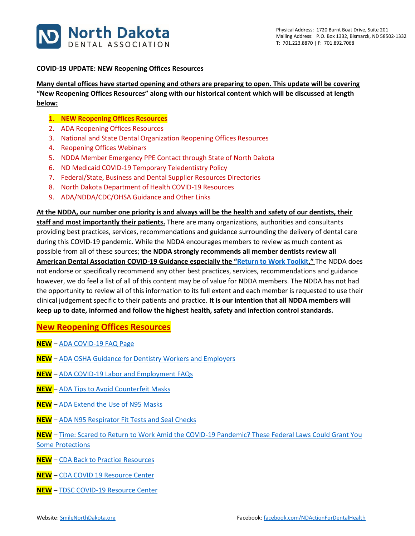

#### **COVID-19 UPDATE: NEW Reopening Offices Resources**

**Many dental offices have started opening and others are preparing to open. This update will be covering "New Reopening Offices Resources" along with our historical content which will be discussed at length below:**

- **1. NEW Reopening Offices Resources**
- 2. ADA Reopening Offices Resources
- 3. National and State Dental Organization Reopening Offices Resources
- 4. Reopening Offices Webinars
- 5. NDDA Member Emergency PPE Contact through State of North Dakota
- 6. ND Medicaid COVID-19 Temporary Teledentistry Policy
- 7. Federal/State, Business and Dental Supplier Resources Directories
- 8. North Dakota Department of Health COVID-19 Resources
- 9. ADA/NDDA/CDC/OHSA Guidance and Other Links

**At the NDDA, our number one priority is and always will be the health and safety of our dentists, their** 

**staff and most importantly their patients.** There are many organizations, authorities and consultants providing best practices, services, recommendations and guidance surrounding the delivery of dental care during this COVID-19 pandemic. While the NDDA encourages members to review as much content as possible from all of these sources; **the NDDA strongly recommends all member dentists review all American Dental Association COVID-19 Guidance especially the "[Return to Work Toolkit](https://pages.ada.org/return-to-work-toolkit-american-dental-association)."** The NDDA does not endorse or specifically recommend any other best practices, services, recommendations and guidance however, we do feel a list of all of this content may be of value for NDDA members. The NDDA has not had the opportunity to review all of this information to its full extent and each member is requested to use their clinical judgement specific to their patients and practice. **It is our intention that all NDDA members will keep up to date, informed and follow the highest health, safety and infection control standards.**

**New Reopening Offices Resources**

- **NEW** [ADA COVID-19 FAQ Page](https://success.ada.org/en/practice-management/patients/coronavirus-frequently-asked-questions?utm_source=cpsorg&utm_medium=covid-nav&utm_content=nav-faq&utm_campaign=covid-19)
- **NEW** [ADA OSHA Guidance for Dentistry Workers and Employers](https://success.ada.org/~/media/CPS/Files/COVID/OSHA_Guidance_For_Dentistry_Workers_And_Employers.pdf?utm_source=cpsorg&utm_medium=covid-resources-lp-safety&utm_content=cv-safety-osha-guidelines&utm_campaign=covid-19)
- **NEW** [ADA COVID-19 Labor and Employment FAQs](https://success.ada.org/~/media/CPS/Files/COVID/COVID-19_Employment_Law_FAQs.pdf)
- **NEW** [ADA Tips to Avoid Counterfeit Masks](https://success.ada.org/~/media/CPS/Files/COVID/ADA_TipsToAvoidCounterfeitMasks.pdf?utm_source=sl-societies&utm_medium=sl-wuw&utm_content=cv-counterfeitmask&utm_campaign=covid-19)
- **NEW** [ADA Extend the Use of N95 Masks](https://success.ada.org/~/media/CPS/Files/COVID/ADA_Extending_Use_Of_N95_Masks.pdf??utm_source=cpsorg&utm_medium=updatesection&utm_content=cv-safety-clinical-extend-N95-masks&utm_campaign=covid-19)
- **NEW** [ADA N95 Respirator Fit Tests and Seal Checks](https://success.ada.org/~/media/CPS/Files/COVID/Conducting_Respirator_Fit_Tests_And_Seal_Checks.pdf?utm_source=cpsorg&utm_medium=covid-main-lp&utm_content=cv-n95-respirator-fit-tests-and-seal-checks&utm_campaign=covid-19)
- **NEW** [Time: Scared to Return to Work Amid the COVID-19 Pandemic? These Federal Laws Could Grant You](https://time.com/5832140/going-back-to-work-coronavirus-rights/)  [Some Protections](https://time.com/5832140/going-back-to-work-coronavirus-rights/)
- **NEW** [CDA Back to Practice Resources](https://www.cda.org/Home/Practice/Back-to-Practice)
- **NEW** [CDA COVID 19 Resource Center](https://www.cda.org/Home/News-and-Events/COVID-19-coronavirus-Updates)
- **NEW** [TDSC COVID-19 Resource Center](https://dentalsupplies.tdsc.com/coronavirus?utm_source=hs_email&utm_medium=email&utm_content=87503024&_hsenc=p2ANqtz-_7MVVipqYWy9aYBK-OqTyRw4nE73y-KBElY7Zq3RmgV69d8NXrMCd4ot5jsqWRl5RvP-QFx9t2aIw7oMEW8JCCdrzahTkWlezM9Qwdn4biN-hegcU&_hsmi=87503024)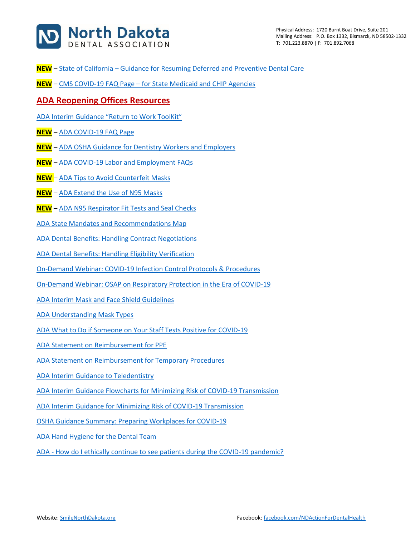

- **NEW** State of California [Guidance for Resuming Deferred and Preventive Dental Care](https://www.cdph.ca.gov/Programs/CID/DCDC/Pages/Guidance-for-Resuming-Deferred-and-Preventive-Dental-Care--.aspx)
- **NEW** CMS COVID-19 FAQ Page [for State Medicaid and CHIP Agencies](https://www.medicaid.gov/state-resource-center/downloads/covid-19-new-faqs.pdf)

### **ADA Reopening Offices Resources**

[ADA Interim Guidance "Return to Work ToolKit"](https://pages.ada.org/return-to-work-toolkit-american-dental-association?utm_campaign=covid-19-Return-to-Work-Toolkit&utm_source=cpsorg-alert-bar&utm_medium=cpsalertbar-virus&utm_content=covid-19-interim-return-to-work)

- **NEW** [ADA COVID-19 FAQ Page](https://success.ada.org/en/practice-management/patients/coronavirus-frequently-asked-questions?utm_source=cpsorg&utm_medium=covid-nav&utm_content=nav-faq&utm_campaign=covid-19)
- **NEW** [ADA OSHA Guidance for Dentistry Workers and Employers](https://success.ada.org/~/media/CPS/Files/COVID/OSHA_Guidance_For_Dentistry_Workers_And_Employers.pdf?utm_source=cpsorg&utm_medium=covid-resources-lp-safety&utm_content=cv-safety-osha-guidelines&utm_campaign=covid-19)
- **NEW** [ADA COVID-19 Labor and Employment FAQs](https://success.ada.org/~/media/CPS/Files/COVID/COVID-19_Employment_Law_FAQs.pdf)
- **NEW** [ADA Tips to Avoid Counterfeit Masks](https://success.ada.org/~/media/CPS/Files/COVID/ADA_TipsToAvoidCounterfeitMasks.pdf?utm_source=sl-societies&utm_medium=sl-wuw&utm_content=cv-counterfeitmask&utm_campaign=covid-19)
- **NEW** [ADA Extend the Use of N95 Masks](https://success.ada.org/~/media/CPS/Files/COVID/ADA_Extending_Use_Of_N95_Masks.pdf??utm_source=cpsorg&utm_medium=updatesection&utm_content=cv-safety-clinical-extend-N95-masks&utm_campaign=covid-19)
- **NEW** [ADA N95 Respirator Fit Tests and Seal Checks](https://success.ada.org/~/media/CPS/Files/COVID/Conducting_Respirator_Fit_Tests_And_Seal_Checks.pdf?utm_source=cpsorg&utm_medium=covid-main-lp&utm_content=cv-n95-respirator-fit-tests-and-seal-checks&utm_campaign=covid-19)
- [ADA State Mandates and Recommendations Map](https://success.ada.org/en/practice-management/patients/covid-19-state-mandates-and-recommendations)
- [ADA Dental Benefits: Handling Contract Negotiations](https://success.ada.org/~/media/CPS/Files/COVID/Contract_Negotiations.pdf)
- [ADA Dental Benefits: Handling Eligibility Verification](https://success.ada.org/~/media/CPS/Files/COVID/Eligibility_verification.pdf)
- [On-Demand Webinar: COVID-19 Infection Control Protocols & Procedures](https://ebusiness.ada.org/Education/viewcourse.aspx?id=400)
- [On-Demand Webinar: OSAP on Respiratory Protection in the Era of COVID-19](https://success.ada.org/en/practice-management/patients/digital-events/ada-and-osap-respiratory-protection-in-the-era-of-covid-19-webinar?utm_source=adaorg&utm_medium=virus-alertbar&utm_content=cv-safety-osap-webinar-042420&utm_campaign=covid-19)
- [ADA Interim Mask and Face Shield Guidelines](https://success.ada.org/~/media/CPS/Files/COVID/ADA_Interim_Mask_and_Face_Shield_Guidelines.pdf)
- [ADA Understanding Mask Types](https://success.ada.org/~/media/CPS/Files/COVID/ADA_COVID19_UnderstandingMasks.pdf)
- [ADA What to Do if Someone on Your Staff Tests Positive for COVID-19](https://success.ada.org/~/media/CPS/Files/COVID/A_Positive_COVID-19_Test_Result_On_Your_Staff.pdf)
- [ADA Statement on Reimbursement for PPE](https://success.ada.org/~/media/CPS/Files/COVID/ADA_Third_Party_Payer_Reimbursement_for_PPE.pdf?utm_source=cpsorg&utm_medium=covid-main-lp-pm&utm_content=cv-pm-tpp-ppe&utm_campaign=covid-19)
- [ADA Statement on Reimbursement for Temporary Procedures](https://success.ada.org/~/media/CPS/Files/COVID/ADA_Third_Party_Payer_Reimbursement_for_Temporary_Procedures.pdf?utm_source=cpsorg&utm_medium=covid-main-lp-pm&utm_content=cv-pm-tpp-temp-procedures&utm_campaign=covid-19)
- [ADA Interim Guidance to Teledentistry](https://success.ada.org/~/media/CPS/Files/COVID/ADA_COVID_Coding_and_Billing_Guidance.pdf?_ga=2.97948636.2132421290.1584909044-247932367.1547599179)
- [ADA Interim Guidance Flowcharts for Minimizing Risk of COVID-19 Transmission](https://www.ada.org/~/media/CPS/Files/COVID/ADA_COVID_Int_Guidance_Treat_Pts.pdf?utm_source=adaorg&utm_medium=covid-resources-lp&utm_content=cv-pm-ebd-interim-response&utm_campaign=covid-19)
- [ADA Interim Guidance for Minimizing Risk of COVID-19 Transmission](https://www.ada.org/~/media/CPS/Files/COVID/ADA_Int_Guidance_Mgmt_Emerg-Urg_Dental_COVID19.pdf?utm_source=adaorg&utm_medium=covid-resources-lp&utm_content=cv-pm-ebd-interim-flowchart&utm_campaign=covid-19)
- [OSHA Guidance Summary: Preparing Workplaces for COVID-19](https://success.ada.org/~/media/CPS/Files/COVID/OSHA_Guidance_on_Preparing_Workplaces_for_COVID-19.pdf?utm_source=adaorg&utm_medium=covid-resources-lp&utm_content=cv-safety-osha&utm_campaign=covid-19)
- [ADA Hand Hygiene for the Dental Team](https://success.ada.org/en/practice-management/dental-practice-success/dps-spring-2020/hand-hygiene-for-the-dental-team?utm_source=adaorg&utm_medium=covid-resources-lp&utm_content=hand-hygiene&utm_campaign=covid-19)
- ADA How [do I ethically continue to see patients during the COVID-19 pandemic?](https://www.ada.org/~/media/CPS/Files/COVID/ADA_COVID_How_Do_I_Ethically_See_Patients_During_Pandemic.pdf)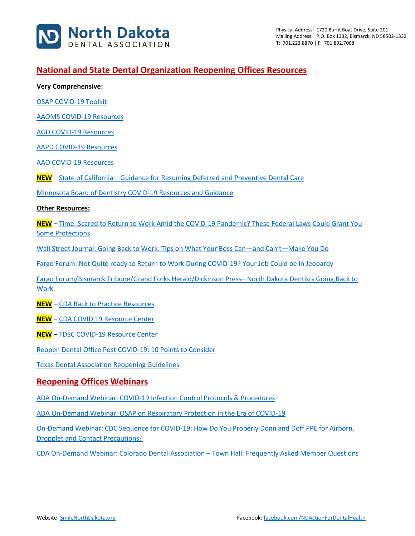

# **National and State Dental Organization Reopening Offices Resources**

**Very Comprehensive:**

[OSAP COVID-19 Toolkit](https://www.osap.org/page/COVID-19)

[AAOMS COVID-19 Resources](https://www.aaoms.org/practice-resources/covid-19-updates)

[AGD COVID-19 Resources](https://www.agd.org/coronavirus)

[AAPD COVID-19 Resources](https://www.aapd.org/about/about-aapd/news-room/covid-19/)

[AAO COVID-19 Resources](https://www1.aaoinfo.org/covid-19/)

**NEW** – State of California – [Guidance for Resuming Deferred and Preventive Dental Care](https://www.cdph.ca.gov/Programs/CID/DCDC/Pages/Guidance-for-Resuming-Deferred-and-Preventive-Dental-Care--.aspx)

[Minnesota Board of Dentistry COVID-19 Resources and Guidance](https://mn.gov/boards/dentistry/current-licensee/resources/covid19/)

**Other Resources:**

**NEW** – [Time: Scared to Return to Work Amid the COVID-19 Pandemic? These Federal Laws Could Grant You](https://time.com/5832140/going-back-to-work-coronavirus-rights/)  [Some Protections](https://time.com/5832140/going-back-to-work-coronavirus-rights/)

[Wall Street Journal: Going Back to Work: Tips on What Your Boss Can](https://www.wsj.com/articles/going-back-to-work-tips-on-what-your-boss-canand-cantmake-you-do-11587682455?mod=searchresults)—and Can't—Make You Do

[Fargo Forum: Not Quite ready to Return to Work During COVID-19? Your Job Could be in Jeopardy](https://www.inforum.com/newsmd/coronavirus/6467396-Not-quite-ready-to-return-to-work-during-COVID-19-Your-job-could-be-in-jeopardy)

[Fargo Forum/Bismarck Tribune/Grand Forks Herald/Dickinson Press](https://www.inforum.com/newsmd/coronavirus/6461683-North-Dakota-dentists-get-OK-to-resume-routine-dental-care-on-May-1)– North Dakota Dentists Going Back to [Work](https://www.inforum.com/newsmd/coronavirus/6461683-North-Dakota-dentists-get-OK-to-resume-routine-dental-care-on-May-1)

**NEW** – [CDA Back to Practice Resources](https://www.cda.org/Home/Practice/Back-to-Practice)

**NEW** – [CDA COVID 19 Resource Center](https://www.cda.org/Home/News-and-Events/COVID-19-coronavirus-Updates)

**NEW** – [TDSC COVID-19 Resource Center](https://dentalsupplies.tdsc.com/coronavirus?utm_source=hs_email&utm_medium=email&utm_content=87503024&_hsenc=p2ANqtz-_7MVVipqYWy9aYBK-OqTyRw4nE73y-KBElY7Zq3RmgV69d8NXrMCd4ot5jsqWRl5RvP-QFx9t2aIw7oMEW8JCCdrzahTkWlezM9Qwdn4biN-hegcU&_hsmi=87503024)

[Reopen Dental Office Post COVID-19: 10 Points to Consider](https://www.smilenorthdakota.org/docs/librariesprovider39/north-dakota/reopen-dental-office-post-covid-19-10-points-to-consider.pdf?sfvrsn=2)

[Texas Dental Association Reopening Guidelines](https://www.tda.org/Portals/0/COVID/TDA%20Final%20Guidelines%20Reopening%20Dental%20Offices_April%2021_2020.pdf?ver=2020-04-26-155158-407)

### **Reopening Offices Webinars**

[ADA On-Demand Webinar: COVID-19 Infection Control Protocols & Procedures](https://ebusiness.ada.org/Education/viewcourse.aspx?id=400)

[ADA On-Demand Webinar: OSAP on Respiratory Protection in the Era of COVID-19](https://success.ada.org/en/practice-management/patients/digital-events/ada-and-osap-respiratory-protection-in-the-era-of-covid-19-webinar?utm_source=adaorg&utm_medium=virus-alertbar&utm_content=cv-safety-osap-webinar-042420&utm_campaign=covid-19)

[On-Demand Webinar: CDC Sequence for COVID-19: How Do You Properly Donn and Doff PPE for Airborn,](https://www.vumedi.com/video/ppe-donning-and-doffing-cdc-sequence-for-covid-19/)  [Dropplet and Contact Precautions?](https://www.vumedi.com/video/ppe-donning-and-doffing-cdc-sequence-for-covid-19/)

[CDA On-Demand Webinar: Colorado Dental Association](https://vimeo.com/409980125?ref=em-share) – Town Hall: Frequently Asked Member Questions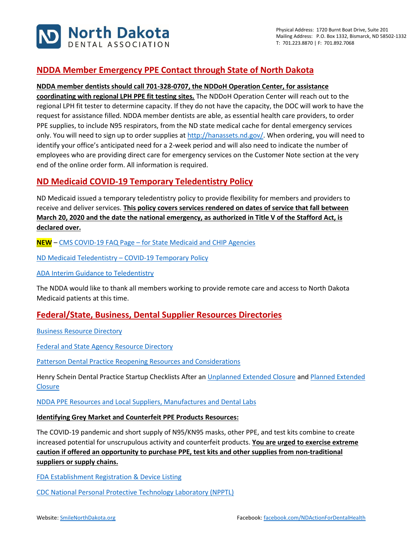

# **NDDA Member Emergency PPE Contact through State of North Dakota**

### **NDDA member dentists should call 701-328-0707, the NDDoH Operation Center, for assistance**

**coordinating with regional LPH PPE fit testing sites.** The NDDoH Operation Center will reach out to the regional LPH fit tester to determine capacity. If they do not have the capacity, the DOC will work to have the request for assistance filled. NDDA member dentists are able, as essential health care providers, to order PPE supplies, to include N95 respirators, from the ND state medical cache for dental emergency services only. You will need to sign up to order supplies a[t http://hanassets.nd.gov/.](http://hanassets.nd.gov/) When ordering, you will need to identify your office's anticipated need for a 2-week period and will also need to indicate the number of employees who are providing direct care for emergency services on the Customer Note section at the very end of the online order form. All information is required.

# **ND Medicaid COVID-19 Temporary Teledentistry Policy**

ND Medicaid issued a temporary teledentistry policy to provide flexibility for members and providers to receive and deliver services. **This policy covers services rendered on dates of service that fall between March 20, 2020 and the date the national emergency, as authorized in Title V of the Stafford Act, is declared over.**

**NEW** – CMS COVID-19 FAQ Page – [for State Medicaid and CHIP Agencies](https://www.medicaid.gov/state-resource-center/downloads/covid-19-new-faqs.pdf)

ND Medicaid Teledentistry – [COVID-19 Temporary Policy](http://www.nd.gov/dhs/info/covid-19/docs/policy-medicaid-temporary-teledentistry.pdf)

[ADA Interim Guidance to Teledentistry](https://success.ada.org/~/media/CPS/Files/COVID/ADA_COVID_Coding_and_Billing_Guidance.pdf?_ga=2.97948636.2132421290.1584909044-247932367.1547599179)

The NDDA would like to thank all members working to provide remote care and access to North Dakota Medicaid patients at this time.

## **Federal/State, Business, Dental Supplier Resources Directories**

[Business Resource Directory](https://www.smilenorthdakota.org/docs/librariesprovider39/default-document-library/business-covid-19-resource-directory1.pdf?sfvrsn=2)

[Federal and State Agency Resource Directory](https://www.smilenorthdakota.org/docs/librariesprovider39/default-document-library/federal-amp-state-covid-19-resource-directory.pdf?sfvrsn=2)

[Patterson Dental Practice Reopening Resources and Considerations](https://liveshareeast3.seismic.com/i/7cwb0gfE0zY8p___PLUSSIGNQvwPnOcqlKegQd3NsJ___nEnirL1LKTxBKzmkh9ZYyjKxz1yKPLUSSIGNnRQWXIJ47DEvJGue2TzPLUSSIGNv11rA1LCRFqmWss0OL0lBWUQqfcQeXrU4mh1___NUQ___cBAi)

Henry Schein Dental Practice Startup Checklists After an [Unplanned Extended Closure](https://www.smilenorthdakota.org/docs/librariesprovider39/north-dakota/henry-shien-practice-startup-checklist-after-an-unplanned-extended-closure.pdf?sfvrsn=2) and [Planned Extended](https://www.smilenorthdakota.org/docs/librariesprovider39/north-dakota/henry-shien-practice-startup-checklist-after-a-planned-extended-closure.pdf?sfvrsn=2)  **[Closure](https://www.smilenorthdakota.org/docs/librariesprovider39/north-dakota/henry-shien-practice-startup-checklist-after-a-planned-extended-closure.pdf?sfvrsn=2)** 

[NDDA PPE Resources and Local Suppliers, Manufactures and Dental Labs](https://www.smilenorthdakota.org/docs/librariesprovider39/north-dakota/ppe-resources---5-4-20.pdf?sfvrsn=2)

#### **Identifying Grey Market and Counterfeit PPE Products Resources:**

The COVID-19 pandemic and short supply of N95/KN95 masks, other PPE, and test kits combine to create increased potential for unscrupulous activity and counterfeit products. **You are urged to exercise extreme caution if offered an opportunity to purchase PPE, test kits and other supplies from non-traditional suppliers or supply chains.**

[FDA Establishment Registration & Device Listing](https://www.accessdata.fda.gov/scripts/cdrh/cfdocs/cfRL/rl.cfm)

[CDC National Personal Protective Technology Laboratory \(NPPTL\)](https://www.cdc.gov/niosh/npptl/respirators/testing/NonNIOSH.html)